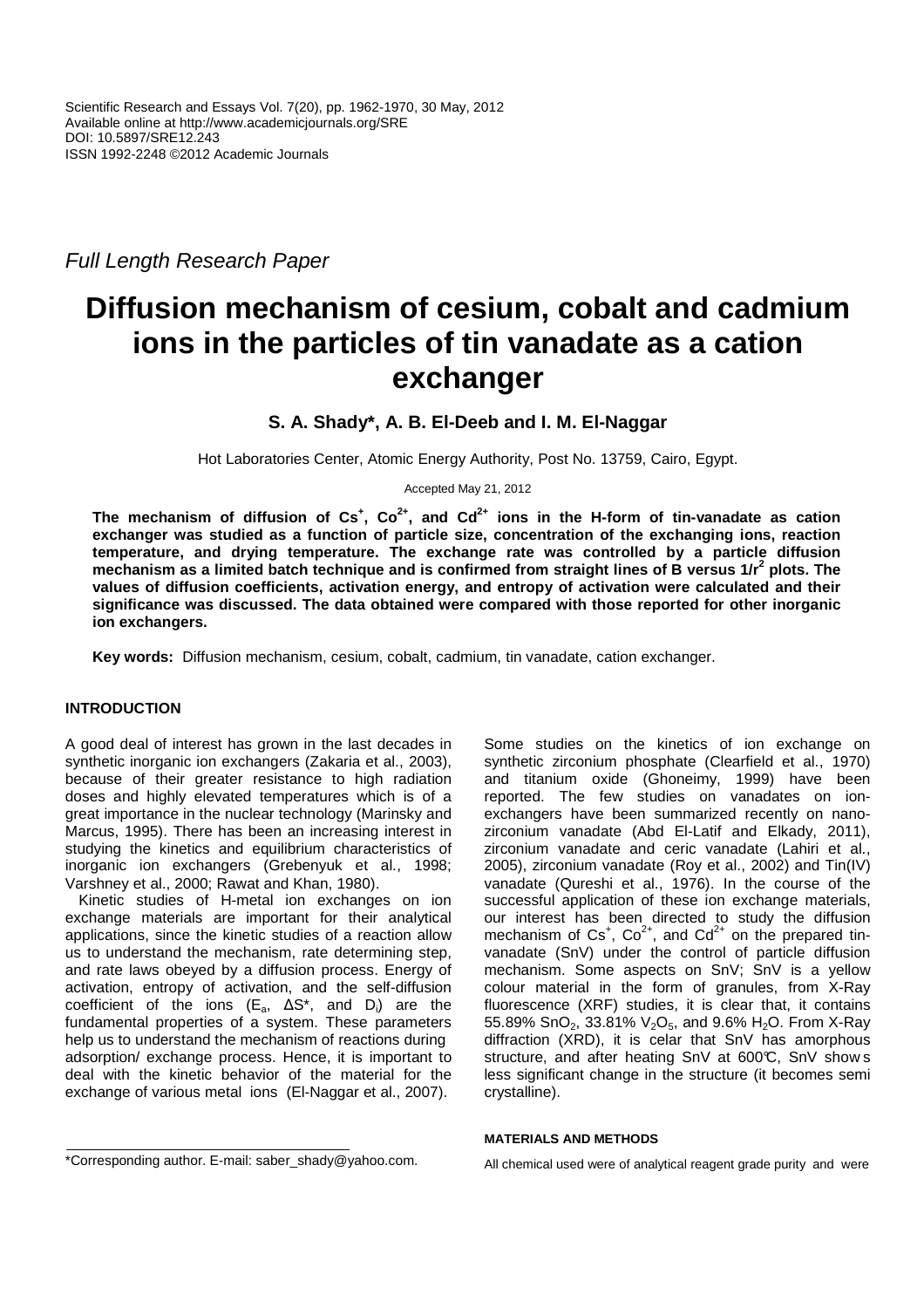Full Length Research Paper

# **Diffusion mechanism of cesium, cobalt and cadmium ions in the particles of tin vanadate as a cation exchanger**

# **S. A. Shady\*, A. B. El-Deeb and I. M. El-Naggar**

Hot Laboratories Center, Atomic Energy Authority, Post No. 13759, Cairo, Egypt.

Accepted May 21, 2012

**The mechanism of diffusion of Cs<sup>+</sup> , Co2+, and Cd2+ ions in the H-form of tin-vanadate as cation exchanger was studied as a function of particle size, concentration of the exchanging ions, reaction temperature, and drying temperature. The exchange rate was controlled by a particle diffusion mechanism as a limited batch technique and is confirmed from straight lines of B versus 1/r<sup>2</sup> plots. The values of diffusion coefficients, activation energy, and entropy of activation were calculated and their significance was discussed. The data obtained were compared with those reported for other inorganic ion exchangers.** 

**Key words:** Diffusion mechanism, cesium, cobalt, cadmium, tin vanadate, cation exchanger.

# **INTRODUCTION**

A good deal of interest has grown in the last decades in synthetic inorganic ion exchangers (Zakaria et al., 2003), because of their greater resistance to high radiation doses and highly elevated temperatures which is of a great importance in the nuclear technology (Marinsky and Marcus, 1995). There has been an increasing interest in studying the kinetics and equilibrium characteristics of inorganic ion exchangers (Grebenyuk et al., 1998; Varshney et al., 2000; Rawat and Khan, 1980).

Kinetic studies of H-metal ion exchanges on ion exchange materials are important for their analytical applications, since the kinetic studies of a reaction allow us to understand the mechanism, rate determining step, and rate laws obeyed by a diffusion process. Energy of activation, entropy of activation, and the self-diffusion coefficient of the ions (E<sub>a</sub>,  $\Delta S^*$ , and D<sub>i</sub>) are the fundamental properties of a system. These parameters help us to understand the mechanism of reactions during adsorption/ exchange process. Hence, it is important to deal with the kinetic behavior of the material for the exchange of various metal ions (El-Naggar et al., 2007).

Some studies on the kinetics of ion exchange on synthetic zirconium phosphate (Clearfield et al., 1970) and titanium oxide (Ghoneimy, 1999) have been reported. The few studies on vanadates on ionexchangers have been summarized recently on nanozirconium vanadate (Abd El-Latif and Elkady, 2011), zirconium vanadate and ceric vanadate (Lahiri et al., 2005), zirconium vanadate (Roy et al., 2002) and Tin(IV) vanadate (Qureshi et al., 1976). In the course of the successful application of these ion exchange materials, our interest has been directed to study the diffusion mechanism of  $Cs^+$ ,  $Co^{2+}$ , and  $Cd^{2+}$  on the prepared tinvanadate (SnV) under the control of particle diffusion mechanism. Some aspects on SnV; SnV is a yellow colour material in the form of granules, from X-Ray fluorescence (XRF) studies, it is clear that, it contains 55.89% SnO<sub>2</sub>, 33.81% V<sub>2</sub>O<sub>5</sub>, and 9.6% H<sub>2</sub>O. From X-Ray diffraction (XRD), it is celar that SnV has amorphous structure, and after heating SnV at 600°C, SnV show s less significant change in the structure (it becomes semi crystalline).

# **MATERIALS AND METHODS**

All chemical used were of analytical reagent grade purity and were

<sup>\*</sup>Corresponding author. E-mail: saber\_shady@yahoo.com.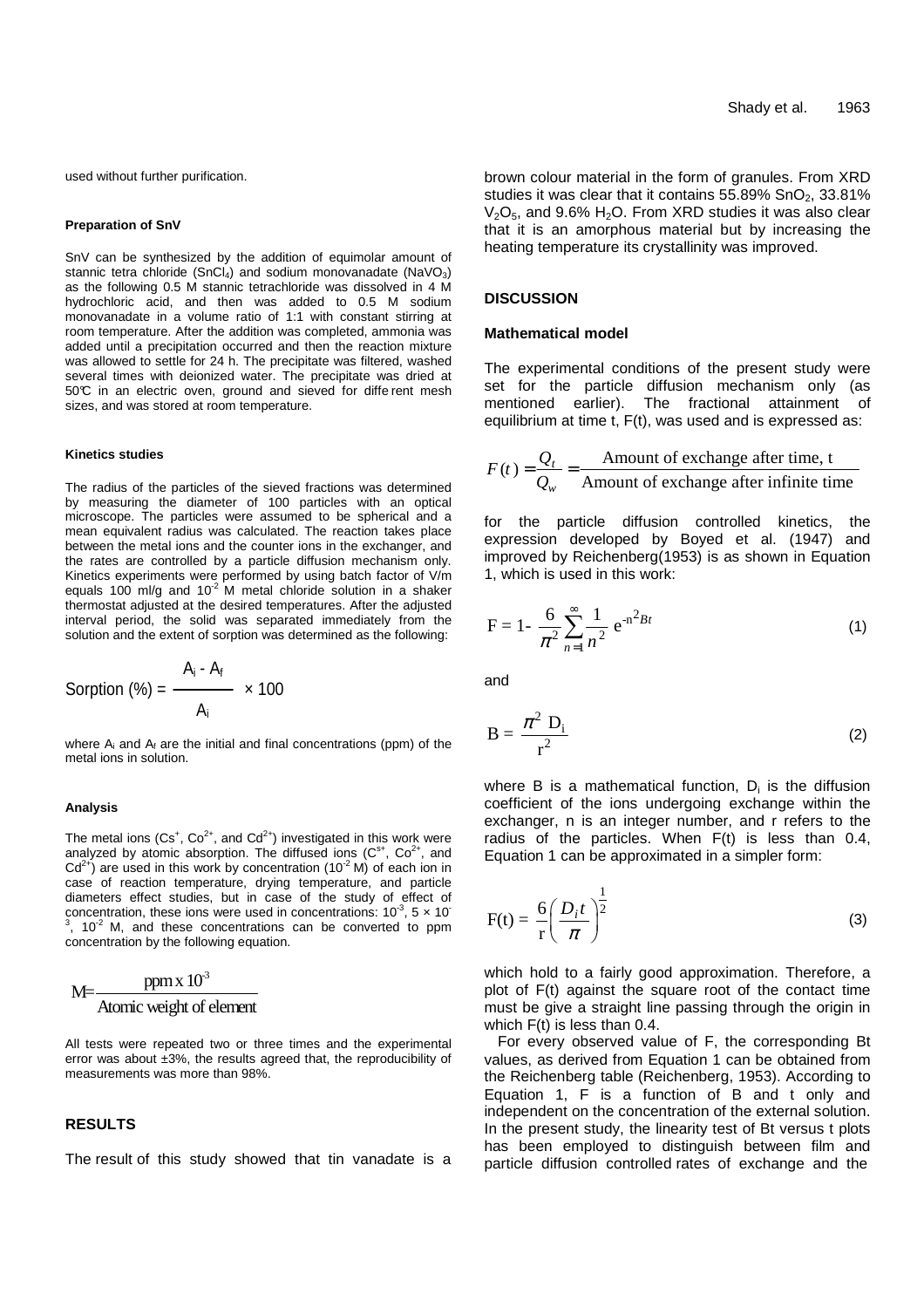used without further purification.

#### **Preparation of SnV**

SnV can be synthesized by the addition of equimolar amount of stannic tetra chloride (SnCl<sub>4</sub>) and sodium monovanadate (NaVO<sub>3</sub>) as the following 0.5 M stannic tetrachloride was dissolved in 4 M hydrochloric acid, and then was added to 0.5 M sodium monovanadate in a volume ratio of 1:1 with constant stirring at room temperature. After the addition was completed, ammonia was added until a precipitation occurred and then the reaction mixture was allowed to settle for 24 h. The precipitate was filtered, washed several times with deionized water. The precipitate was dried at 50°C in an electric oven, ground and sieved for diffe rent mesh sizes, and was stored at room temperature.

#### **Kinetics studies**

The radius of the particles of the sieved fractions was determined by measuring the diameter of 100 particles with an optical microscope. The particles were assumed to be spherical and a mean equivalent radius was calculated. The reaction takes place between the metal ions and the counter ions in the exchanger, and the rates are controlled by a particle diffusion mechanism only. Kinetics experiments were performed by using batch factor of V/m equals 100 ml/g and 10 $^2$  M metal chloride solution in a shaker thermostat adjusted at the desired temperatures. After the adjusted interval period, the solid was separated immediately from the solution and the extent of sorption was determined as the following:

Sorption (%) = 
$$
\frac{A_i - A_f}{A_i} \times 100
$$

where  $A_i$  and  $A_f$  are the initial and final concentrations (ppm) of the metal ions in solution.

## **Analysis**

The metal ions ( $Cs^+$ ,  $Co^{2+}$ , and  $Cd^{2+}$ ) investigated in this work were analyzed by atomic absorption. The diffused ions  $(C^{s+}, C^{o^2+}, A)$  $Cd^{2+}$ ) are used in this work by concentration (10<sup>-2</sup> M) of each ion in case of reaction temperature, drying temperature, and particle diameters effect studies, but in case of the study of effect of concentration, these ions were used in concentrations:  $10^{-3}$ ,  $5 \times 10^{-3}$  $3$ , 10<sup>-2</sup> M, and these concentrations can be converted to ppm concentration by the following equation.

$$
M = \frac{ppm \times 10^3}{\text{Atomic weight of element}}
$$

All tests were repeated two or three times and the experimental error was about ±3%, the results agreed that, the reproducibility of measurements was more than 98%.

#### **RESULTS**

The result of this study showed that tin vanadate is a

brown colour material in the form of granules. From XRD studies it was clear that it contains  $55.89\%$  SnO<sub>2</sub>,  $33.81\%$  $V<sub>2</sub>O<sub>5</sub>$ , and 9.6% H<sub>2</sub>O. From XRD studies it was also clear that it is an amorphous material but by increasing the heating temperature its crystallinity was improved.

# **DISCUSSION**

#### **Mathematical model**

The experimental conditions of the present study were set for the particle diffusion mechanism only (as mentioned earlier). The fractional attainment of equilibrium at time t, F(t), was used and is expressed as:

$$
F(t) = \frac{Q_t}{Q_w} = \frac{\text{Amount of exchange after time, t}}{\text{Amount of exchange after infinite time}}
$$

for the particle diffusion controlled kinetics, the expression developed by Boyed et al. (1947) and improved by Reichenberg(1953) is as shown in Equation 1, which is used in this work:

$$
F = 1 - \frac{6}{\pi^2} \sum_{n=1}^{\infty} \frac{1}{n^2} e^{-n^2 B t}
$$
 (1)

and

$$
B = \frac{\pi^2 D_i}{r^2}
$$
 (2)

where B is a mathematical function,  $D_i$  is the diffusion coefficient of the ions undergoing exchange within the exchanger, n is an integer number, and r refers to the radius of the particles. When F(t) is less than 0.4, Equation 1 can be approximated in a simpler form:

$$
F(t) = \frac{6}{r} \left(\frac{D_i t}{\pi}\right)^{\frac{1}{2}}
$$
 (3)

which hold to a fairly good approximation. Therefore, a plot of F(t) against the square root of the contact time must be give a straight line passing through the origin in which F(t) is less than 0.4.

For every observed value of F, the corresponding Bt values, as derived from Equation 1 can be obtained from the Reichenberg table (Reichenberg, 1953). According to Equation 1, F is a function of B and t only and independent on the concentration of the external solution. In the present study, the linearity test of Bt versus t plots has been employed to distinguish between film and particle diffusion controlled rates of exchange and the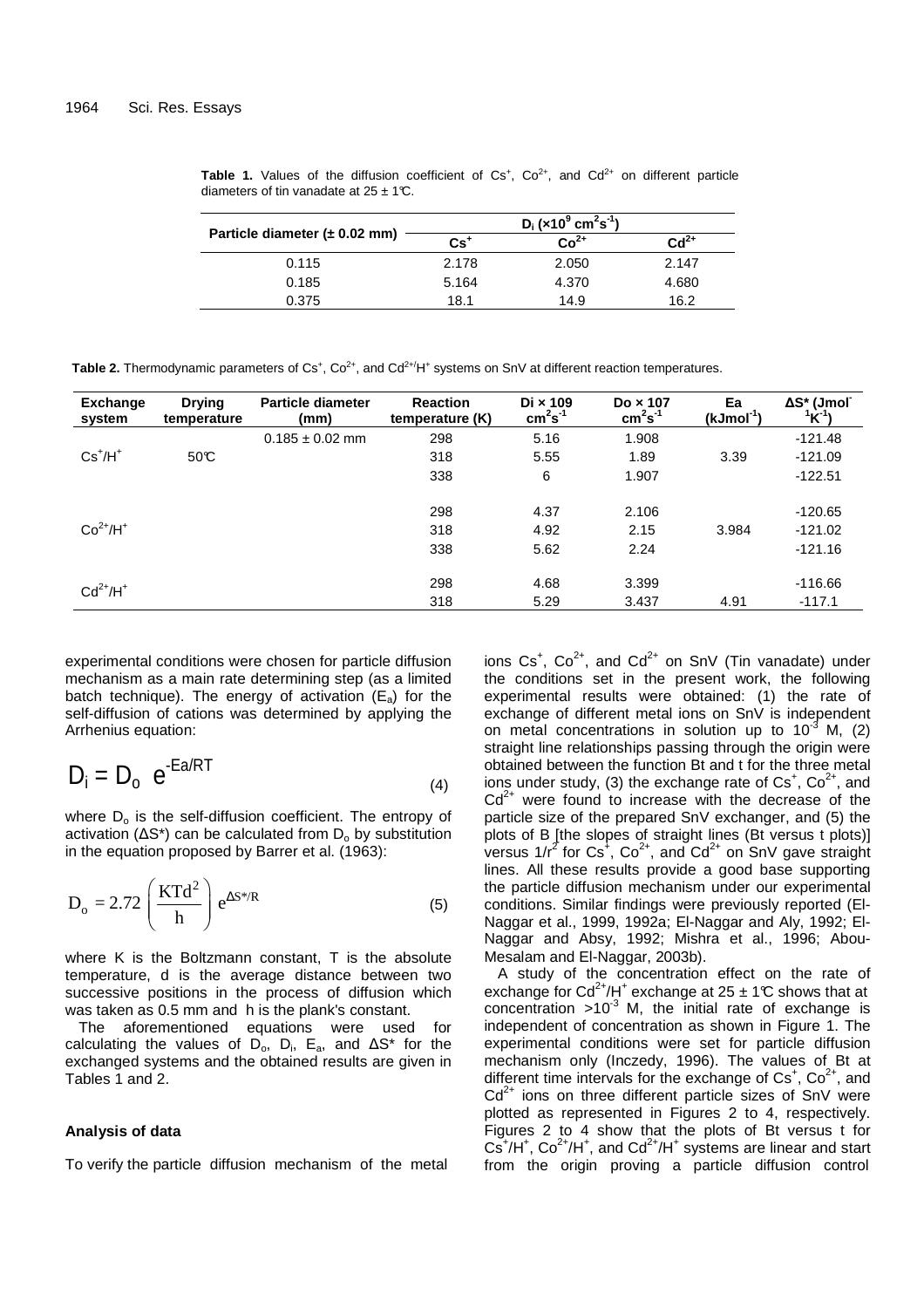|                                           |       | $D_i$ (x10 <sup>9</sup> cm <sup>2</sup> s <sup>-1</sup> ) |                    |
|-------------------------------------------|-------|-----------------------------------------------------------|--------------------|
| Particle diameter $(\pm 0.02 \text{ mm})$ | $Cs+$ | $Co2+$                                                    | $\mathbf{Cd}^{2+}$ |
| 0.115                                     | 2.178 | 2.050                                                     | 2.147              |
| 0.185                                     | 5.164 | 4.370                                                     | 4.680              |
| 0.375                                     | 18.1  | 14.9                                                      | 16.2               |

**Table 1.** Values of the diffusion coefficient of  $Cs^+$ ,  $Co^{2+}$ , and  $Cd^{2+}$  on different particle diameters of tin vanadate at  $25 \pm 1^\circ\text{C}$ .

**Table 2.** Thermodynamic parameters of  $Cs^+$ ,  $Co^{2+}$ , and  $Cd^{2+}/H^+$  systems on SnV at different reaction temperatures.

| <b>Exchange</b><br>system | <b>Drying</b><br>temperature | <b>Particle diameter</b><br>(mm) | <b>Reaction</b><br>temperature (K) | $Di \times 109$<br>$cm2s-1$ | Do $\times$ 107<br>$cm2s-1$ | Ea<br>$(kJmol-1)$ | ΔS* (Jmol <sup>-</sup><br>$1^{1}K^{-1}$ |
|---------------------------|------------------------------|----------------------------------|------------------------------------|-----------------------------|-----------------------------|-------------------|-----------------------------------------|
|                           |                              | $0.185 \pm 0.02$ mm              | 298                                | 5.16                        | 1.908                       |                   | $-121.48$                               |
| $Cs+/H+$                  | 50C                          |                                  | 318                                | 5.55                        | 1.89                        | 3.39              | $-121.09$                               |
|                           |                              |                                  | 338                                | 6                           | 1.907                       |                   | $-122.51$                               |
|                           |                              |                                  |                                    |                             |                             |                   |                                         |
|                           |                              |                                  | 298                                | 4.37                        | 2.106                       |                   | $-120.65$                               |
| $Co2+/H+$                 |                              |                                  | 318                                | 4.92                        | 2.15                        | 3.984             | $-121.02$                               |
|                           |                              |                                  | 338                                | 5.62                        | 2.24                        |                   | $-121.16$                               |
|                           |                              |                                  |                                    |                             |                             |                   |                                         |
| $Cd2+/H+$                 |                              |                                  | 298                                | 4.68                        | 3.399                       |                   | $-116.66$                               |
|                           |                              |                                  | 318                                | 5.29                        | 3.437                       | 4.91              | $-117.1$                                |

experimental conditions were chosen for particle diffusion mechanism as a main rate determining step (as a limited batch technique). The energy of activation  $(E_a)$  for the self-diffusion of cations was determined by applying the Arrhenius equation:

$$
D_i = D_o e^{-Ea/RT}
$$
 (4)

where  $D<sub>o</sub>$  is the self-diffusion coefficient. The entropy of activation ( $\Delta S^*$ ) can be calculated from  $D_0$  by substitution in the equation proposed by Barrer et al. (1963):

$$
D_o = 2.72 \left(\frac{KTd^2}{h}\right) e^{\Delta S^* / R}
$$
 (5)

where K is the Boltzmann constant, T is the absolute temperature, d is the average distance between two successive positions in the process of diffusion which was taken as 0.5 mm and h is the plank's constant.

The aforementioned equations were used for calculating the values of D<sub>o</sub>, D<sub>i</sub>, E<sub>a</sub>, and  $\Delta S^*$  for the exchanged systems and the obtained results are given in Tables 1 and 2.

# **Analysis of data**

To verify the particle diffusion mechanism of the metal

ions  $Cs^+$ ,  $Co^{2+}$ , and  $Cd^{2+}$  on SnV (Tin vanadate) under the conditions set in the present work, the following experimental results were obtained: (1) the rate of exchange of different metal ions on SnV is independent on metal concentrations in solution up to  $10^{-3}$  M, (2) straight line relationships passing through the origin were obtained between the function Bt and t for the three metal ions under study, (3) the exchange rate of  $Cs^+$ ,  $Co^{2+}$ , and  $Cd<sup>2+</sup>$  were found to increase with the decrease of the particle size of the prepared SnV exchanger, and (5) the plots of B [the slopes of straight lines (Bt versus t plots)] versus 1/r<sup>2</sup> for Cs<sup>+</sup>, Co<sup>2+</sup>, and Cd<sup>2+</sup> on SnV gave straight lines. All these results provide a good base supporting the particle diffusion mechanism under our experimental conditions. Similar findings were previously reported (El-Naggar et al., 1999, 1992a; El-Naggar and Aly, 1992; El-Naggar and Absy, 1992; Mishra et al., 1996; Abou-Mesalam and El-Naggar, 2003b).

A study of the concentration effect on the rate of exchange for  $Cd^{2+}/H^{+}$  exchange at 25  $\pm$  1°C shows that at concentration  $>10^{-3}$  M, the initial rate of exchange is independent of concentration as shown in Figure 1. The experimental conditions were set for particle diffusion mechanism only (Inczedy, 1996). The values of Bt at different time intervals for the exchange of  $Cs^+$ ,  $Co^{2+}$ , and  $Cd<sup>2+</sup>$  ions on three different particle sizes of SnV were plotted as represented in Figures 2 to 4, respectively. Figures 2 to 4 show that the plots of Bt versus t for  $Cs<sup>+</sup>/H<sup>+</sup>, Co<sup>2+</sup>/H<sup>+</sup>, and  $Cd<sup>2+</sup>/H<sup>+</sup>$  systems are linear and start$ from the origin proving a particle diffusion control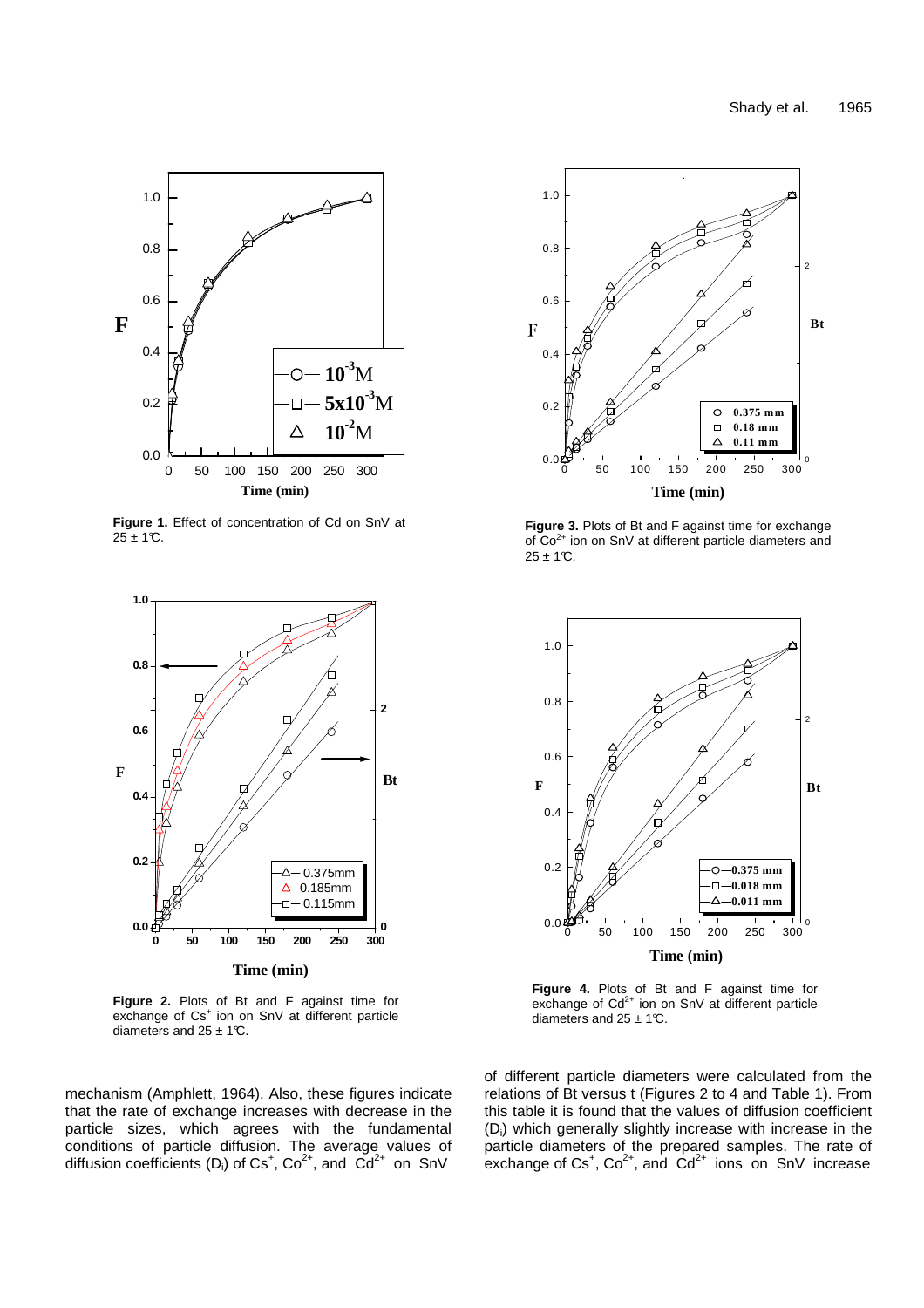

**Figure 1.** Effect of concentration of Cd on SnV at  $25 + 1C$ .



**Figure 2.** Plots of Bt and F against time for exchange of Cs<sup>+</sup> ion on SnV at different particle diameters and  $25 \pm 1^\circ$ C.

mechanism (Amphlett, 1964). Also, these figures indicate that the rate of exchange increases with decrease in the particle sizes, which agrees with the fundamental conditions of particle diffusion. The average values of diffusion coefficients (D<sub>i</sub>) of Cs<sup>+</sup>, Co<sup>2+</sup>, and Cd<sup>2+</sup> on SnV



**Figure 3.** Plots of Bt and F against time for exchange of Co<sup>2+</sup> ion on SnV at different particle diameters and  $25 \pm 1^{\circ}$ C.



**Figure 4.** Plots of Bt and F against time for exchange of  $Cd^{2+}$  ion on SnV at different particle diameters and  $25 \pm 1^\circ \text{C}$ .

of different particle diameters were calculated from the relations of Bt versus t (Figures 2 to 4 and Table 1). From this table it is found that the values of diffusion coefficient (Di) which generally slightly increase with increase in the particle diameters of the prepared samples. The rate of exchange of  $Cs^+$ ,  $Co^{2+}$ , and  $Cd^{2+}$  ions on SnV increase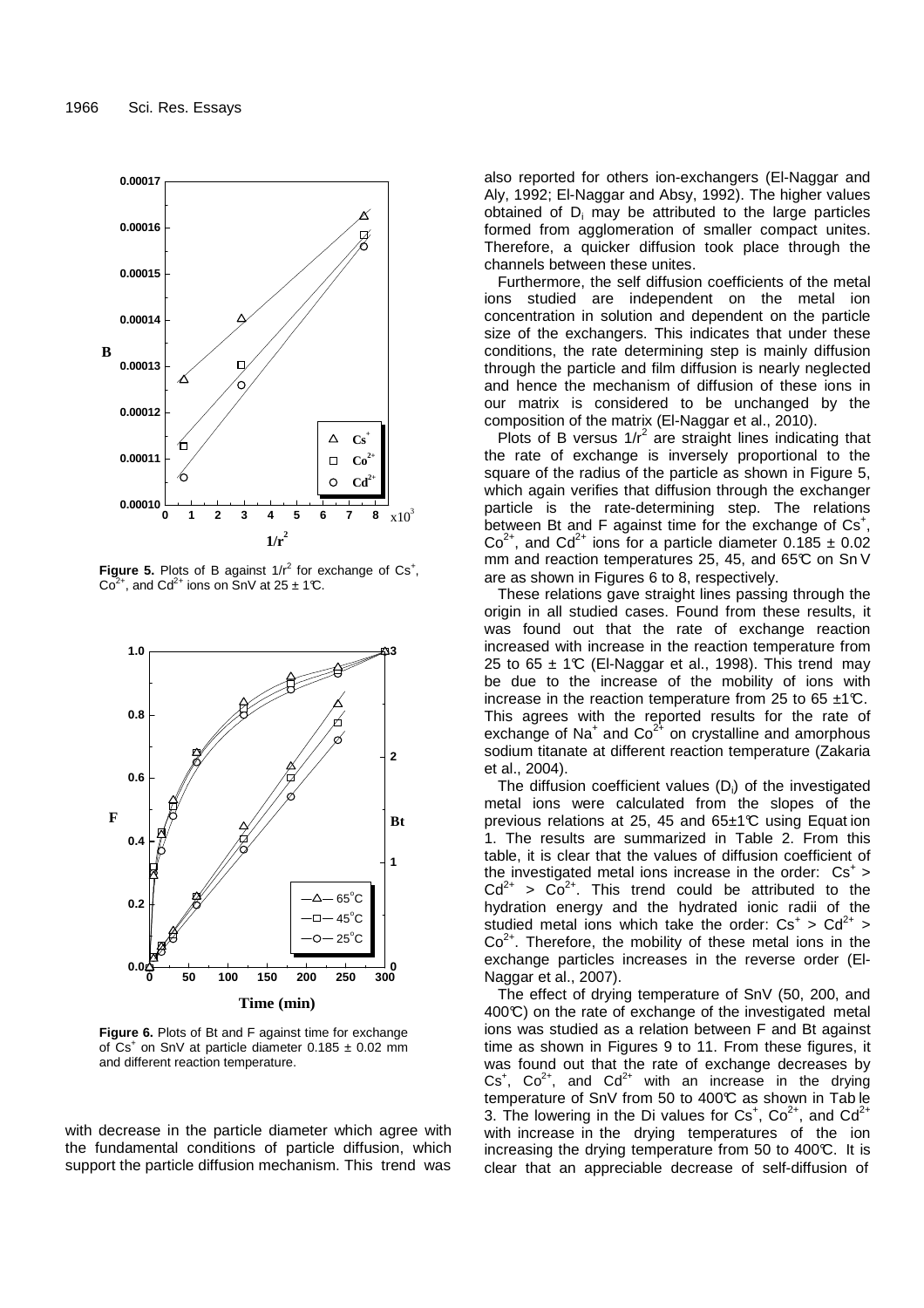

**Figure 5.** Plots of B against  $1/r^2$  for exchange of  $Cs^+$ ,  $Co<sup>2+</sup>$ , and  $Cd<sup>2+</sup>$  ions on SnV at 25  $\pm$  1°C.



**Figure 6.** Plots of Bt and F against time for exchange of  $Cs<sup>+</sup>$  on SnV at particle diameter 0.185  $\pm$  0.02 mm and different reaction temperature.

with decrease in the particle diameter which agree with the fundamental conditions of particle diffusion, which support the particle diffusion mechanism. This trend was also reported for others ion-exchangers (El-Naggar and Aly, 1992; El-Naggar and Absy, 1992). The higher values obtained of  $D_i$  may be attributed to the large particles formed from agglomeration of smaller compact unites. Therefore, a quicker diffusion took place through the channels between these unites.

Furthermore, the self diffusion coefficients of the metal ions studied are independent on the metal ion concentration in solution and dependent on the particle size of the exchangers. This indicates that under these conditions, the rate determining step is mainly diffusion through the particle and film diffusion is nearly neglected and hence the mechanism of diffusion of these ions in our matrix is considered to be unchanged by the composition of the matrix (El-Naggar et al., 2010).

Plots of B versus  $1/r^2$  are straight lines indicating that the rate of exchange is inversely proportional to the square of the radius of the particle as shown in Figure 5, which again verifies that diffusion through the exchanger particle is the rate-determining step. The relations between Bt and F against time for the exchange of Cs<sup>+</sup>,  $Co^{2+}$ , and  $Cd^{2+}$  ions for a particle diameter 0.185  $\pm$  0.02 mm and reaction temperatures 25, 45, and 65°C on Sn V are as shown in Figures 6 to 8, respectively.

These relations gave straight lines passing through the origin in all studied cases. Found from these results, it was found out that the rate of exchange reaction increased with increase in the reaction temperature from 25 to 65  $\pm$  1°C (El-Naggar et al., 1998). This trend may be due to the increase of the mobility of ions with increase in the reaction temperature from 25 to 65  $\pm$ 1°C. This agrees with the reported results for the rate of exchange of Na<sup>+</sup> and  $Co^{2+}$  on crystalline and amorphous sodium titanate at different reaction temperature (Zakaria et al., 2004).

The diffusion coefficient values  $(D_i)$  of the investigated metal ions were calculated from the slopes of the previous relations at 25, 45 and  $65±1°C$  using Equation 1. The results are summarized in Table 2. From this table, it is clear that the values of diffusion coefficient of the investigated metal ions increase in the order:  $Cs^+$  >  $Cd^{2+} > Co^{2+}$ . This trend could be attributed to the hydration energy and the hydrated ionic radii of the studied metal ions which take the order:  $Cs^{+} > Cd^{2+} >$  $Co<sup>2+</sup>$ . Therefore, the mobility of these metal ions in the exchange particles increases in the reverse order (El-Naggar et al., 2007).

The effect of drying temperature of SnV (50, 200, and  $400\degree$ ) on the rate of exchange of the investigated metal ions was studied as a relation between F and Bt against time as shown in Figures 9 to 11. From these figures, it was found out that the rate of exchange decreases by  $Cs^{+}$ ,  $Co^{2+}$ , and  $Cd^{2+}$  with an increase in the drying temperature of SnV from 50 to 400°C as shown in Tab le 3. The lowering in the Di values for  $Cs^+$ ,  $Co^{2+}$ , and  $Cd^{2+}$ with increase in the drying temperatures of the ion increasing the drying temperature from 50 to 400°C. It is clear that an appreciable decrease of self-diffusion of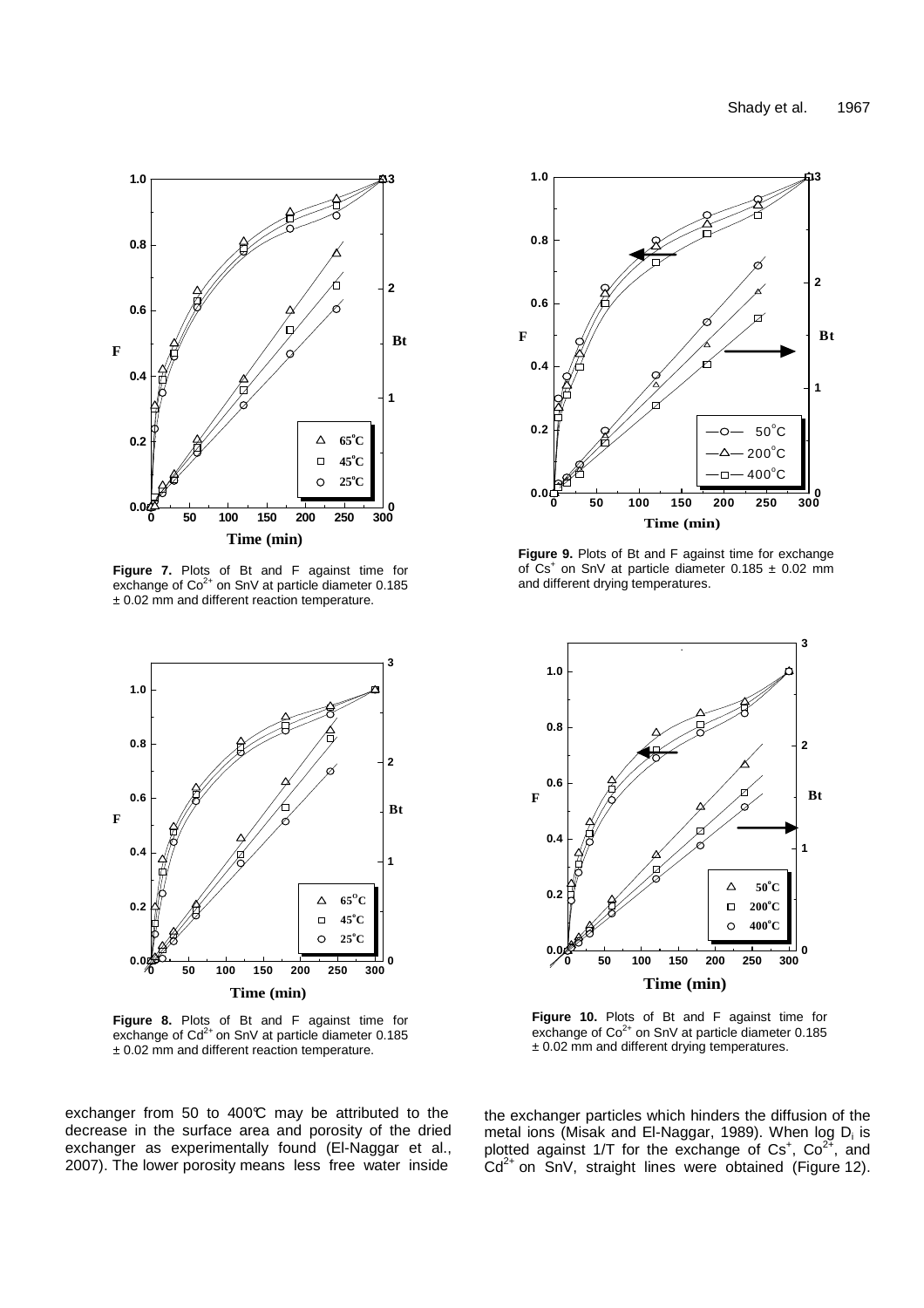

**Figure 7.** Plots of Bt and F against time for exchange of  $Co^{2+}$  on SnV at particle diameter 0.185 ± 0.02 mm and different reaction temperature.



**Figure 8.** Plots of Bt and F against time for exchange of  $Cd^{2+}$  on SnV at particle diameter 0.185  $± 0.02$  mm and different reaction temperature.

exchanger from 50 to 400 $\degree$ C may be attributed to the decrease in the surface area and porosity of the dried exchanger as experimentally found (El-Naggar et al., 2007). The lower porosity means less free water inside



**Figure 9.** Plots of Bt and F against time for exchange of  $Cs<sup>+</sup>$  on SnV at particle diameter  $0.185 \pm 0.02$  mm and different drying temperatures.



**Figure 10.** Plots of Bt and F against time for exchange of  $Co<sup>2+</sup>$  on SnV at particle diameter 0.185  $± 0.02$  mm and different drying temperatures.

the exchanger particles which hinders the diffusion of the metal ions (Misak and El-Naggar, 1989). When log D<sub>i</sub> is plotted against 1/T for the exchange of  $Cs^+$ ,  $Co^{2+}$ , and  $Cd^{2+}$  on  $SnV$ , straight lines were obtained (Figure 12).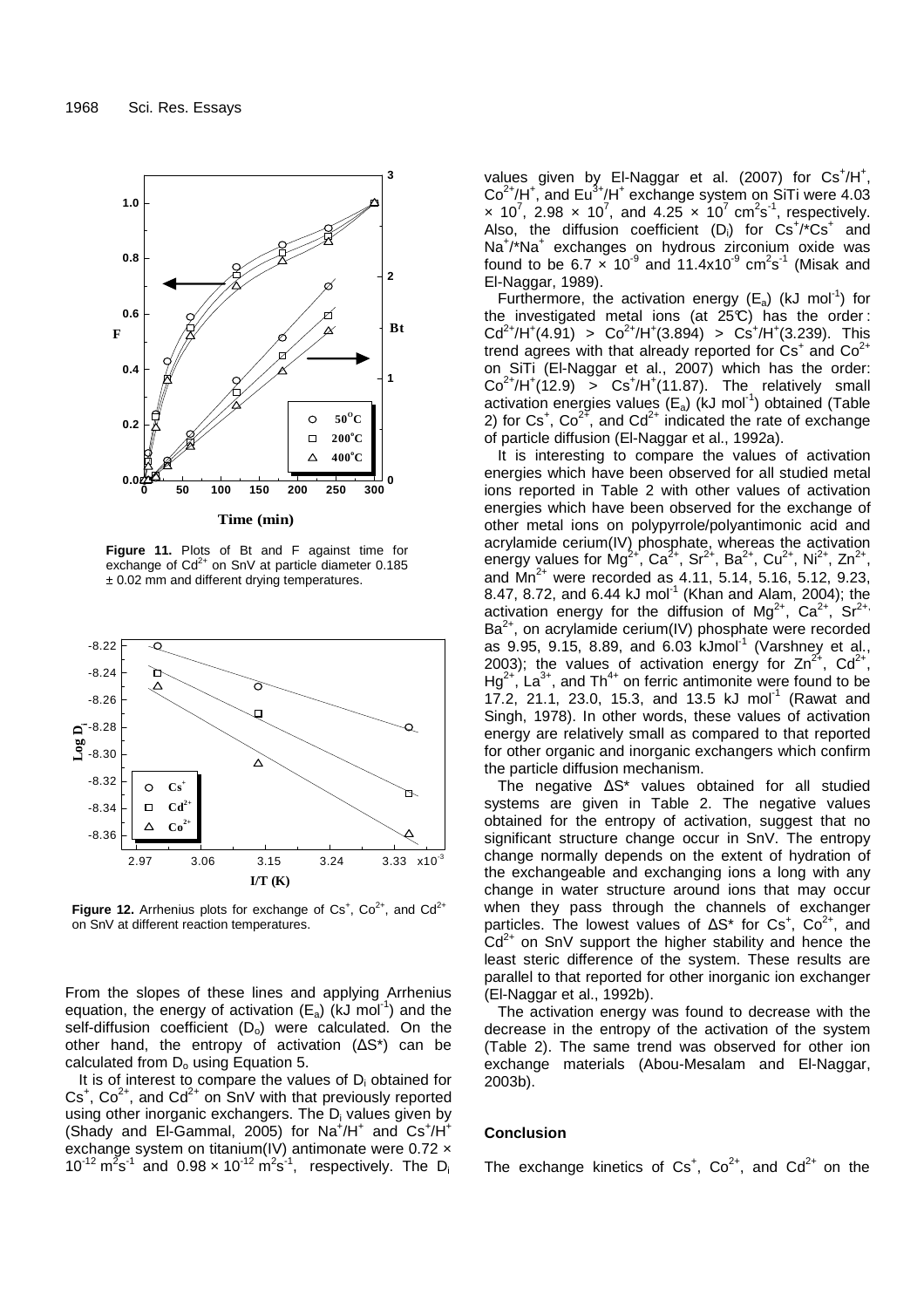

**Figure 11.** Plots of Bt and F against time for exchange of  $Cd^{2+}$  on SnV at particle diameter 0.185

 $± 0.02$  mm and different drying temperatures.



**Figure 12.** Arrhenius plots for exchange of  $Cs^+$ ,  $Co^{2+}$ , and  $Cd^{2+}$ on SnV at different reaction temperatures.

From the slopes of these lines and applying Arrhenius equation, the energy of activation  $(E_a)$  (kJ mol<sup>-1</sup>) and the self-diffusion coefficient  $(D_0)$  were calculated. On the other hand, the entropy of activation (∆S\*) can be calculated from  $D_0$  using Equation 5.

It is of interest to compare the values of  $D_i$  obtained for  $Cs<sup>+</sup>$ , Co<sup>2+</sup>, and Cd<sup>2+</sup> on SnV with that previously reported using other inorganic exchangers. The D<sub>i</sub> values given by (Shady and El-Gammal, 2005) for  $Na^+/H^+$  and  $Cs^+/H^+$ exchange system on titanium(IV) antimonate were 0.72 x  $10^{-12} \text{ m}^2 \text{s}^{-1}$  and  $0.98 \times 10^{-12} \text{ m}^2 \text{s}^{-1}$ , respectively. The D<sub>i</sub>

values given by El-Naggar et al. (2007) for  $Cs<sup>+</sup>/H<sup>+</sup>,$  $Co<sup>2+</sup>/H<sup>+</sup>,$  and  $Eu<sup>3+</sup>/H<sup>+</sup>$  exchange system on SiTi were 4.03  $\times$  10<sup>7</sup>, 2.98  $\times$  10<sup>7</sup>, and 4.25  $\times$  10<sup>7</sup> cm<sup>2</sup>s<sup>-1</sup>, respectively. Also, the diffusion coefficient  $(D_i)$  for  $Cs^+/^*Cs^+$  and Na<sup>+</sup>/\*Na<sup>+</sup> exchanges on hydrous zirconium oxide was found to be 6.7  $\times$  10<sup>-9</sup> and 11.4x10<sup>-9</sup> cm<sup>2</sup>s<sup>-1</sup> (Misak and El-Naggar, 1989).

Furthermore, the activation energy  $(E_a)$  (kJ mol<sup>-1</sup>) for the investigated metal ions (at  $25^{\circ}$ ) has the order:  $Cd^{2+}/H^{+}(4.91) > Co^{2+}/H^{+}(3.894) > Cs^{+}/H^{+}(3.239)$ . This trend agrees with that already reported for  $Cs<sup>+</sup>$  and  $Co<sup>2+</sup>$ on SiTi (El-Naggar et al., 2007) which has the order:  $Co^{2+}/H^{+}(12.9) > Co^{+}/H^{+}(11.87)$ . The relatively small activation energies values  $(E_a)$  (kJ mol<sup>-1</sup>) obtained (Table 2) for  $Cs^+$ ,  $Co^{2+}$ , and  $Cd^{2+}$  indicated the rate of exchange of particle diffusion (El-Naggar et al., 1992a).

It is interesting to compare the values of activation energies which have been observed for all studied metal ions reported in Table 2 with other values of activation energies which have been observed for the exchange of other metal ions on polypyrrole/polyantimonic acid and acrylamide cerium(IV) phosphate, whereas the activation energy values for  $Mg^{2+}$ , Ca<sup>2+</sup>, Sr<sup>2+</sup>, Ba<sup>2+</sup>, Cu<sup>2+</sup>, Ni<sup>2+</sup>, Zn<sup>2+</sup>, and  $Mn^{2+}$  were recorded as 4.11, 5.14, 5.16, 5.12, 9.23, 8.47, 8.72, and 6.44 kJ mol<sup>-1</sup> (Khan and Alam, 2004); the activation energy for the diffusion of  $Mg^{2+}$ , Ca<sup>2+</sup>, Sr<sup>2+,</sup>  $Ba<sup>2+</sup>$ , on acrylamide cerium(IV) phosphate were recorded as  $9.95$ ,  $9.15$ ,  $8.89$ , and  $6.03$  kJmol<sup>-1</sup> (Varshney et al., 2003); the values of activation energy for  $Zn^{2^+}$ , Cd<sup>2+</sup>,  $Hg^{2+}$ , La<sup>3+</sup>, and Th<sup>4+</sup> on ferric antimonite were found to be 17.2, 21.1, 23.0, 15.3, and 13.5 kJ mol<sup>-1</sup> (Rawat and Singh, 1978). In other words, these values of activation energy are relatively small as compared to that reported for other organic and inorganic exchangers which confirm the particle diffusion mechanism.

The negative ∆S\* values obtained for all studied systems are given in Table 2. The negative values obtained for the entropy of activation, suggest that no significant structure change occur in SnV. The entropy change normally depends on the extent of hydration of the exchangeable and exchanging ions a long with any change in water structure around ions that may occur when they pass through the channels of exchanger particles. The lowest values of  $\Delta S^*$  for Cs<sup>+</sup>, Co<sup>2+</sup>, and  $Cd<sup>2+</sup>$  on SnV support the higher stability and hence the least steric difference of the system. These results are parallel to that reported for other inorganic ion exchanger (El-Naggar et al., 1992b).

The activation energy was found to decrease with the decrease in the entropy of the activation of the system (Table 2). The same trend was observed for other ion exchange materials (Abou-Mesalam and El-Naggar, 2003b).

#### **Conclusion**

The exchange kinetics of  $Cs^+$ ,  $Co^{2+}$ , and  $Cd^{2+}$  on the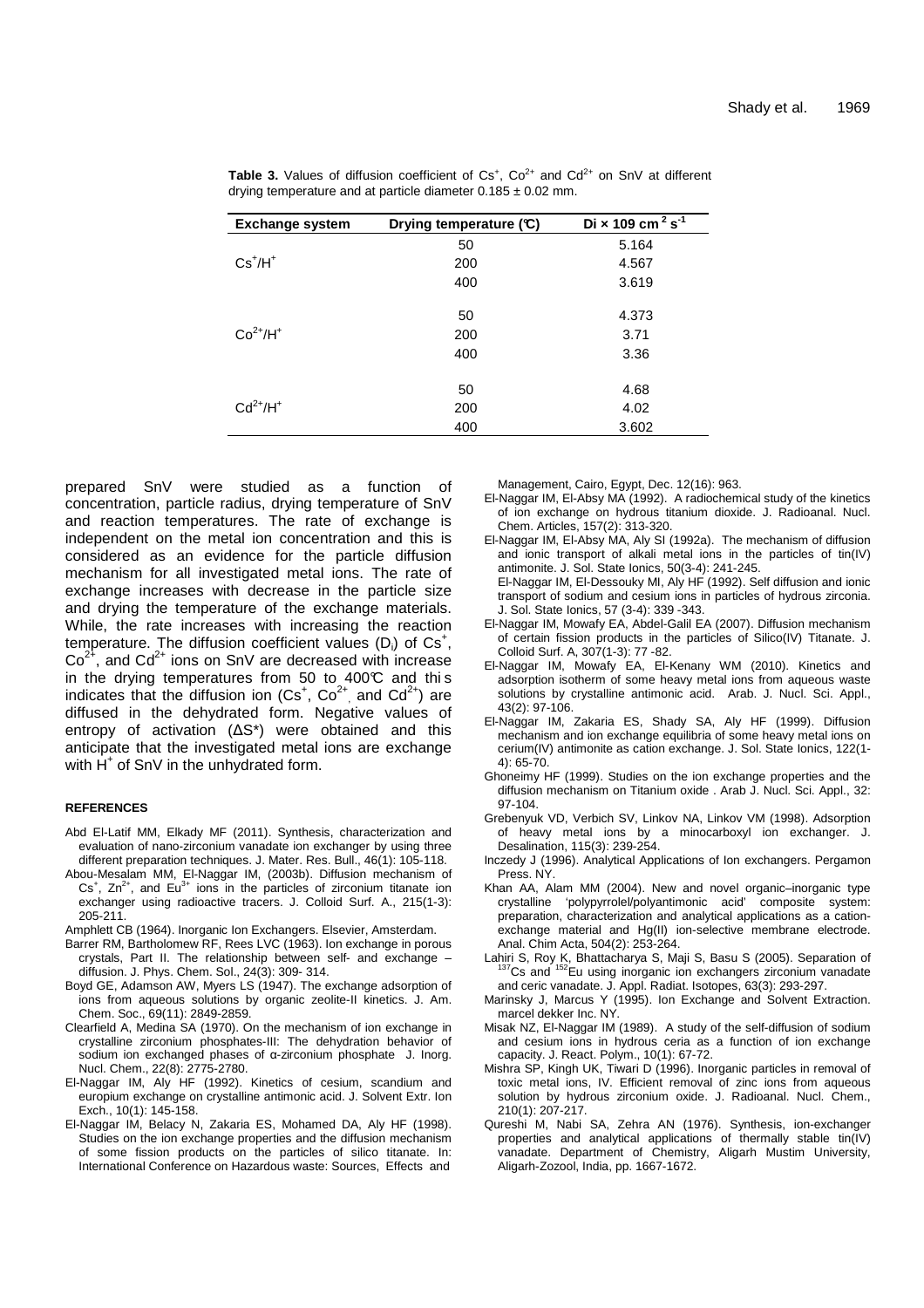| <b>Exchange system</b> | Drying temperature $(C)$ | Di × 109 cm <sup>2</sup> s <sup>-1</sup> |
|------------------------|--------------------------|------------------------------------------|
|                        | 50                       | 5.164                                    |
| $Cs+/H+$               | 200                      | 4.567                                    |
|                        | 400                      | 3.619                                    |
| $Co2+/H+$              | 50<br>200<br>400         | 4.373<br>3.71<br>3.36                    |
| $Cd2+/H+$              | 50<br>200<br>400         | 4.68<br>4.02<br>3.602                    |

|  |  | <b>Table 3.</b> Values of diffusion coefficient of $Cs^+$ , $Co^{2+}$ and $Cd^{2+}$ on $SnV$ at different |  |  |  |  |  |
|--|--|-----------------------------------------------------------------------------------------------------------|--|--|--|--|--|
|  |  | drying temperature and at particle diameter $0.185 \pm 0.02$ mm.                                          |  |  |  |  |  |

prepared SnV were studied as a function of concentration, particle radius, drying temperature of SnV and reaction temperatures. The rate of exchange is independent on the metal ion concentration and this is considered as an evidence for the particle diffusion mechanism for all investigated metal ions. The rate of exchange increases with decrease in the particle size and drying the temperature of the exchange materials. While, the rate increases with increasing the reaction temperature. The diffusion coefficient values  $(D_i)$  of  $Cs^+$ ,  $Co<sup>2+</sup>$ , and  $Cd<sup>2+</sup>$  ions on SnV are decreased with increase in the drying temperatures from 50 to  $400\textdegree C$  and this indicates that the diffusion ion  $(Cs^+, Co^{2+})$  and  $Cd^{2+}$ ) are diffused in the dehydrated form. Negative values of entropy of activation (∆S\*) were obtained and this anticipate that the investigated metal ions are exchange with  $\dot{H}^+$  of SnV in the unhydrated form.

## **REFERENCES**

- Abd El-Latif MM, Elkady MF (2011). Synthesis, characterization and evaluation of nano-zirconium vanadate ion exchanger by using three different preparation techniques. J. Mater. Res. Bull., 46(1): 105-118.
- Abou-Mesalam MM, El-Naggar IM, (2003b). Diffusion mechanism of Cs<sup>+</sup>, Zn<sup>2+</sup>, and Eu<sup>3+</sup> ions in the particles of zirconium titanate ion exchanger using radioactive tracers. J. Colloid Surf. A., 215(1-3): 205-211.
- Amphlett CB (1964). Inorganic Ion Exchangers. Elsevier, Amsterdam.
- Barrer RM, Bartholomew RF, Rees LVC (1963). Ion exchange in porous crystals, Part II. The relationship between self- and exchange – diffusion. J. Phys. Chem. Sol., 24(3): 309- 314.
- Boyd GE, Adamson AW, Myers LS (1947). The exchange adsorption of ions from aqueous solutions by organic zeolite-II kinetics. J. Am. Chem. Soc., 69(11): 2849-2859.
- Clearfield A, Medina SA (1970). On the mechanism of ion exchange in crystalline zirconium phosphates-III: The dehydration behavior of sodium ion exchanged phases of α-zirconium phosphate J. Inorg. Nucl. Chem., 22(8): 2775-2780.
- El-Naggar IM, Aly HF (1992). Kinetics of cesium, scandium and europium exchange on crystalline antimonic acid. J. Solvent Extr. Ion Exch., 10(1): 145-158.
- El-Naggar IM, Belacy N, Zakaria ES, Mohamed DA, Aly HF (1998). Studies on the ion exchange properties and the diffusion mechanism of some fission products on the particles of silico titanate. In: International Conference on Hazardous waste: Sources, Effects and

Management, Cairo, Egypt, Dec. 12(16): 963.

- El-Naggar IM, El-Absy MA (1992). A radiochemical study of the kinetics of ion exchange on hydrous titanium dioxide. J. Radioanal. Nucl. Chem. Articles, 157(2): 313-320.
- El-Naggar IM, El-Absy MA, Aly SI (1992a). The mechanism of diffusion and ionic transport of alkali metal ions in the particles of tin(IV) antimonite. J. Sol. State Ionics, 50(3-4): 241-245.
- El-Naggar IM, El-Dessouky MI, Aly HF (1992). Self diffusion and ionic transport of sodium and cesium ions in particles of hydrous zirconia. J. Sol. State Ionics, 57 (3-4): 339 -343.
- El-Naggar IM, Mowafy EA, Abdel-Galil EA (2007). Diffusion mechanism of certain fission products in the particles of Silico(IV) Titanate. J. Colloid Surf. A, 307(1-3): 77 -82.
- El-Naggar IM, Mowafy EA, El-Kenany WM (2010). Kinetics and adsorption isotherm of some heavy metal ions from aqueous waste solutions by crystalline antimonic acid. Arab. J. Nucl. Sci. Appl., 43(2): 97-106.
- El-Naggar IM, Zakaria ES, Shady SA, Aly HF (1999). Diffusion mechanism and ion exchange equilibria of some heavy metal ions on cerium(IV) antimonite as cation exchange. J. Sol. State Ionics, 122(1-  $4)$  $65-70$
- Ghoneimy HF (1999). Studies on the ion exchange properties and the diffusion mechanism on Titanium oxide . Arab J. Nucl. Sci. Appl., 32: 97-104.
- Grebenyuk VD, Verbich SV, Linkov NA, Linkov VM (1998). Adsorption of heavy metal ions by a minocarboxyl ion exchanger. J. Desalination, 115(3): 239-254.
- Inczedy J (1996). Analytical Applications of Ion exchangers. Pergamon Press. NY.
- Khan AA, Alam MM (2004). New and novel organic–inorganic type crystalline 'polypyrrolel/polyantimonic acid' composite system: preparation, characterization and analytical applications as a cationexchange material and Hg(II) ion-selective membrane electrode. Anal. Chim Acta, 504(2): 253-264.
- Lahiri S, Roy K, Bhattacharya S, Maji S, Basu S (2005). Separation of <sup>152</sup>Eu using inorganic ion exchangers zirconium vanadate and ceric vanadate. J. Appl. Radiat. Isotopes, 63(3): 293-297.
- Marinsky J, Marcus Y (1995). Ion Exchange and Solvent Extraction. marcel dekker Inc. NY.
- Misak NZ, El-Naggar IM (1989). A study of the self-diffusion of sodium and cesium ions in hydrous ceria as a function of ion exchange capacity. J. React. Polym., 10(1): 67-72.
- Mishra SP, Kingh UK, Tiwari D (1996). Inorganic particles in removal of toxic metal ions, IV. Efficient removal of zinc ions from aqueous solution by hydrous zirconium oxide. J. Radioanal. Nucl. Chem., 210(1): 207-217.
- Qureshi M, Nabi SA, Zehra AN (1976). Synthesis, ion-exchanger properties and analytical applications of thermally stable tin(IV) vanadate. Department of Chemistry, Aligarh Mustim University, Aligarh-Zozool, India, pp. 1667-1672.